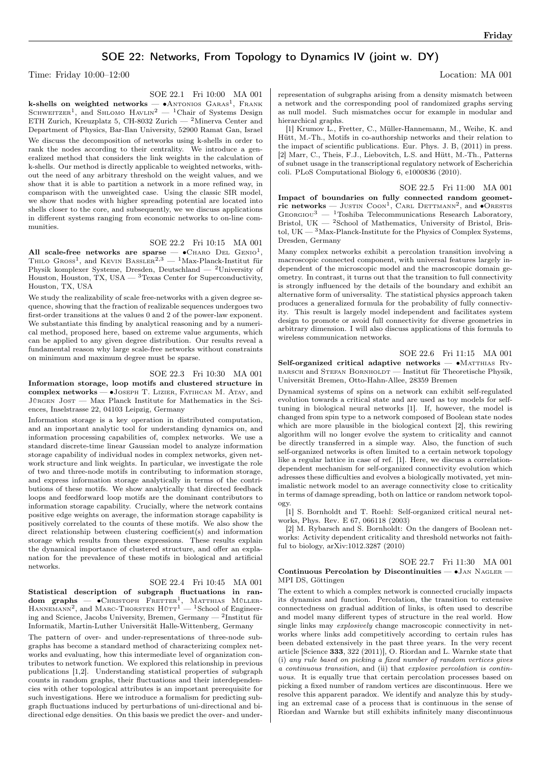# SOE 22: Networks, From Topology to Dynamics IV (joint w. DY)

Time: Friday 10:00–12:00 Location: MA 001

SOE 22.1 Fri 10:00 MA 001

k-shells on weighted networks —  $\bullet$ Antonios Garas<sup>1</sup>, Frank SCHWEITZER<sup>1</sup>, and SHLOMO  $HAVLIN^2 - {}^{1}Chair$  of Systems Design ETH Zurich, Kreuzplatz 5, CH-8032 Zurich — <sup>2</sup>Minerva Center and Department of Physics, Bar-Ilan University, 52900 Ramat Gan, Israel We discuss the decomposition of networks using k-shells in order to rank the nodes according to their centrality. We introduce a generalized method that considers the link weights in the calculation of k-shells. Our method is directly applicable to weighted networks, without the need of any arbitrary threshold on the weight values, and we show that it is able to partition a network in a more refined way, in comparison with the unweighted case. Using the classic SIR model, we show that nodes with higher spreading potential are located into shells closer to the core, and subsequently, we we discuss applications in different systems ranging from economic networks to on-line communities.

### SOE 22.2 Fri 10:15 MA 001

All scale-free networks are sparse —  $\bullet$  CHARO DEL GENIO<sup>1</sup>, THILO  $G$ ROSS<sup>1</sup>, and KEVIN BASSLER<sup>2,3</sup> — <sup>1</sup>Max-Planck-Institut für Physik komplexer Systeme, Dresden, Deutschland — <sup>2</sup>University of Houston, Houston, TX, USA  $-$  <sup>3</sup>Texas Center for Superconductivity, Houston, TX, USA

We study the realizability of scale free-networks with a given degree sequence, showing that the fraction of realizable sequences undergoes two first-order transitions at the values 0 and 2 of the power-law exponent. We substantiate this finding by analytical reasoning and by a numerical method, proposed here, based on extreme value arguments, which can be applied to any given degree distribution. Our results reveal a fundamental reason why large scale-free networks without constraints on minimum and maximum degree must be sparse.

#### SOE 22.3 Fri 10:30 MA 001

Information storage, loop motifs and clustered structure in complex networks — ∙Joseph T. Lizier, Fatihcan M. Atay, and Jürgen Jost — Max Planck Institute for Mathematics in the Sciences, Inselstrasse 22, 04103 Leipzig, Germany

Information storage is a key operation in distributed computation, and an important analytic tool for understanding dynamics on, and information processing capabilities of, complex networks. We use a standard discrete-time linear Gaussian model to analyze information storage capability of individual nodes in complex networks, given network structure and link weights. In particular, we investigate the role of two and three-node motifs in contributing to information storage, and express information storage analytically in terms of the contributions of these motifs. We show analytically that directed feedback loops and feedforward loop motifs are the dominant contributors to information storage capability. Crucially, where the network contains positive edge weights on average, the information storage capability is positively correlated to the counts of these motifs. We also show the direct relationship between clustering coefficient(s) and information storage which results from these expressions. These results explain the dynamical importance of clustered structure, and offer an explanation for the prevalence of these motifs in biological and artificial networks.

#### SOE 22.4 Fri 10:45 MA 001

Statistical description of subgraph fluctuations in ran**dom graphs** —  $\bullet$ Christoph Fretter<sup>1</sup>, Matthias Müller-<br>Hannemann<sup>2</sup>, and Marc-Thorsten Hütt<sup>1</sup> — <sup>1</sup>School of Engineering and Science, Jacobs University, Bremen, Germany —  $^2$ Institut für Informatik, Martin-Luther Universität Halle-Wittenberg, Germany

The pattern of over- and under-representations of three-node subgraphs has become a standard method of characterizing complex networks and evaluating, how this intermediate level of organization contributes to network function. We explored this relationship in previous publications [1,2]. Understanding statistical properties of subgraph counts in random graphs, their fluctuations and their interdependencies with other topological attributes is an important prerequisite for such investigations. Here we introduce a formalism for predicting subgraph fluctuations induced by perturbations of uni-directional and bidirectional edge densities. On this basis we predict the over- and underrepresentation of subgraphs arising from a density mismatch between a network and the corresponding pool of randomized graphs serving as null model. Such mismatches occur for example in modular and hierarchical graphs.

[1] Krumov L., Fretter, C., Müller-Hannemann, M., Weihe, K. and Hütt, M.-Th., Motifs in co-authorship networks and their relation to the impact of scientific publications. Eur. Phys. J. B, (2011) in press. [2] Marr, C., Theis, F.J., Liebovitch, L.S. and Hütt, M.-Th., Patterns of subnet usage in the transcriptional regulatory network of Escherichia coli. PLoS Computational Biology 6, e1000836 (2010).

SOE 22.5 Fri 11:00 MA 001 Impact of boundaries on fully connected random geometric networks — JUSTIN COON<sup>1</sup>, CARL DETTMANN<sup>2</sup>, and  $\bullet$ ORESTIS  $G_{\text{EORGIOU}}^3$  — <sup>1</sup>Toshiba Telecommunications Research Laboratory, Bristol, UK — <sup>2</sup>School of Mathematics, University of Bristol, Bristol, UK —  $\rm{^3Max\text{-}Planck\text{-}Institute}$  for the Physics of Complex Systems, Dresden, Germany

Many complex networks exhibit a percolation transition involving a macroscopic connected component, with universal features largely independent of the microscopic model and the macroscopic domain geometry. In contrast, it turns out that the transition to full connectivity is strongly influenced by the details of the boundary and exhibit an alternative form of universality. The statistical physics approach taken produces a generalized formula for the probability of fully connectivity. This result is largely model independent and facilitates system design to promote or avoid full connectivity for diverse geometries in arbitrary dimension. I will also discuss applications of this formula to wireless communication networks.

SOE 22.6 Fri 11:15 MA 001

Self-organized critical adaptive networks — •MATTHIAS RYbarsch and Stefan Bornholdt — Institut für Theoretische Physik, Universität Bremen, Otto-Hahn-Allee, 28359 Bremen

Dynamical systems of spins on a network can exhibit self-regulated evolution towards a critical state and are used as toy models for selftuning in biological neural networks [1]. If, however, the model is changed from spin type to a network composed of Boolean state nodes which are more plausible in the biological context [2], this rewiring algorithm will no longer evolve the system to criticality and cannot be directly transferred in a simple way. Also, the function of such self-organized networks is often limited to a certain network topology like a regular lattice in case of ref. [1]. Here, we discuss a correlationdependent mechanism for self-organized connectivity evolution which adresses these difficulties and evolves a biologically motivated, yet minimalistic network model to an average connectivity close to criticality in terms of damage spreading, both on lattice or random network topology.

[1] S. Bornholdt and T. Roehl: Self-organized critical neural networks, Phys. Rev. E 67, 066118 (2003)

[2] M. Rybarsch and S. Bornholdt: On the dangers of Boolean networks: Activity dependent criticality and threshold networks not faithful to biology, arXiv:1012.3287 (2010)

SOE 22.7 Fri 11:30 MA 001

#### Continuous Percolation by Discontinuities — ∙Jan Nagler — MPI DS, Göttingen

The extent to which a complex network is connected crucially impacts its dynamics and function. Percolation, the transition to extensive connectedness on gradual addition of links, is often used to describe and model many different types of structure in the real world. How single links may explosively change macroscopic connectivity in networks where links add competitively according to certain rules has been debated extensively in the past three years. In the very recent article [Science 333, 322 (2011)], O. Riordan and L. Warnke state that (i) any rule based on picking a fixed number of random vertices gives a continuous transition, and (ii) that explosive percolation is continuous. It is equally true that certain percolation processes based on picking a fixed number of random vertices are discontinuous. Here we resolve this apparent paradox. We identify and analyze this by studying an extremal case of a process that is continuous in the sense of Riordan and Warnke but still exhibits infinitely many discontinuous